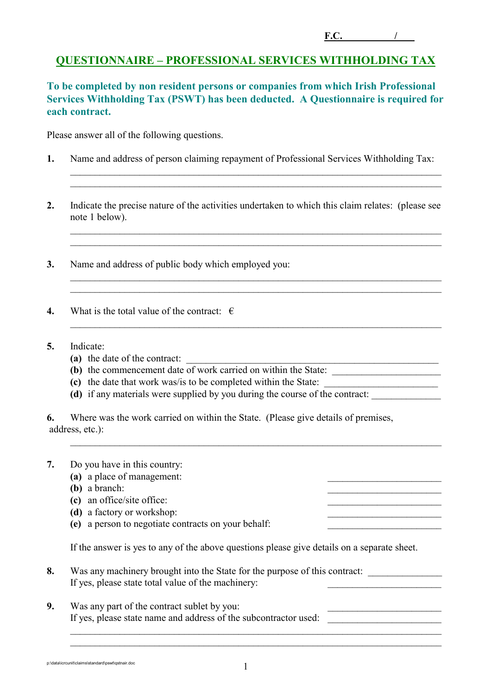**F.C. /** .

## **QUESTIONNAIRE – PROFESSIONAL SERVICES WITHHOLDING TAX**

**To be completed by non resident persons or companies from which Irish Professional Services Withholding Tax (PSWT) has been deducted. A Questionnaire is required for each contract.** 

Please answer all of the following questions.

**1.** Name and address of person claiming repayment of Professional Services Withholding Tax:

 $\_$  , and the contribution of the contribution of the contribution of the contribution of  $\mathcal{L}_\text{max}$  $\mathcal{L}_\text{max} = \mathcal{L}_\text{max} = \mathcal{L}_\text{max} = \mathcal{L}_\text{max} = \mathcal{L}_\text{max} = \mathcal{L}_\text{max} = \mathcal{L}_\text{max} = \mathcal{L}_\text{max} = \mathcal{L}_\text{max} = \mathcal{L}_\text{max} = \mathcal{L}_\text{max} = \mathcal{L}_\text{max} = \mathcal{L}_\text{max} = \mathcal{L}_\text{max} = \mathcal{L}_\text{max} = \mathcal{L}_\text{max} = \mathcal{L}_\text{max} = \mathcal{L}_\text{max} = \mathcal{$ 

 $\_$  , and the contribution of the contribution of the contribution of the contribution of  $\mathcal{L}_\text{max}$  $\_$  , and the contribution of the contribution of the contribution of the contribution of  $\mathcal{L}_\mathcal{A}$ 

 $\_$  , and the contribution of the contribution of the contribution of the contribution of  $\mathcal{L}_\text{max}$  $\_$  , and the contribution of the contribution of the contribution of the contribution of  $\mathcal{L}_\mathcal{A}$ 

 $\mathcal{L}_\text{max} = \mathcal{L}_\text{max} = \mathcal{L}_\text{max} = \mathcal{L}_\text{max} = \mathcal{L}_\text{max} = \mathcal{L}_\text{max} = \mathcal{L}_\text{max} = \mathcal{L}_\text{max} = \mathcal{L}_\text{max} = \mathcal{L}_\text{max} = \mathcal{L}_\text{max} = \mathcal{L}_\text{max} = \mathcal{L}_\text{max} = \mathcal{L}_\text{max} = \mathcal{L}_\text{max} = \mathcal{L}_\text{max} = \mathcal{L}_\text{max} = \mathcal{L}_\text{max} = \mathcal{$ 

 $\_$  , and the contribution of the contribution of the contribution of the contribution of  $\mathcal{L}_\mathcal{A}$ 

- **2.** Indicate the precise nature of the activities undertaken to which this claim relates: (please see note 1 below).
- **3.** Name and address of public body which employed you:
- **4.** What is the total value of the contract:  $\epsilon$
- **5.** Indicate:
	- **(a)** the date of the contract:
	- **(b)** the commencement date of work carried on within the State:
	- **(c)** the date that work was/is to be completed within the State: \_\_\_\_\_\_\_\_\_\_\_\_\_\_\_\_\_\_\_\_\_\_\_
	- (d) if any materials were supplied by you during the course of the contract:

**6.** Where was the work carried on within the State. (Please give details of premises, address, etc.):

- **7.** Do you have in this country:
	- (a) a place of management:
	- **(b)** a branch:
	- **(c)** an office/site office: \_\_\_\_\_\_\_\_\_\_\_\_\_\_\_\_\_\_\_\_\_\_\_
	- **(d)** a factory or workshop:
	- **(e)** a person to negotiate contracts on your behalf: \_\_\_\_\_\_\_\_\_\_\_\_\_\_\_\_\_\_\_\_\_\_\_

If the answer is yes to any of the above questions please give details on a separate sheet.

- **8.** Was any machinery brought into the State for the purpose of this contract: If yes, please state total value of the machinery:
- **9.** Was any part of the contract sublet by you: If yes, please state name and address of the subcontractor used:

p:\data\icrcunit\claims\standard\pswt\qstnair.doc 1

 $\_$  , and the contribution of the contribution of  $\mathcal{L}_\mathcal{A}$  , and the contribution of  $\mathcal{L}_\mathcal{A}$  $\mathcal{L}_\text{max} = \mathcal{L}_\text{max} = \mathcal{L}_\text{max} = \mathcal{L}_\text{max} = \mathcal{L}_\text{max} = \mathcal{L}_\text{max} = \mathcal{L}_\text{max} = \mathcal{L}_\text{max} = \mathcal{L}_\text{max} = \mathcal{L}_\text{max} = \mathcal{L}_\text{max} = \mathcal{L}_\text{max} = \mathcal{L}_\text{max} = \mathcal{L}_\text{max} = \mathcal{L}_\text{max} = \mathcal{L}_\text{max} = \mathcal{L}_\text{max} = \mathcal{L}_\text{max} = \mathcal{$